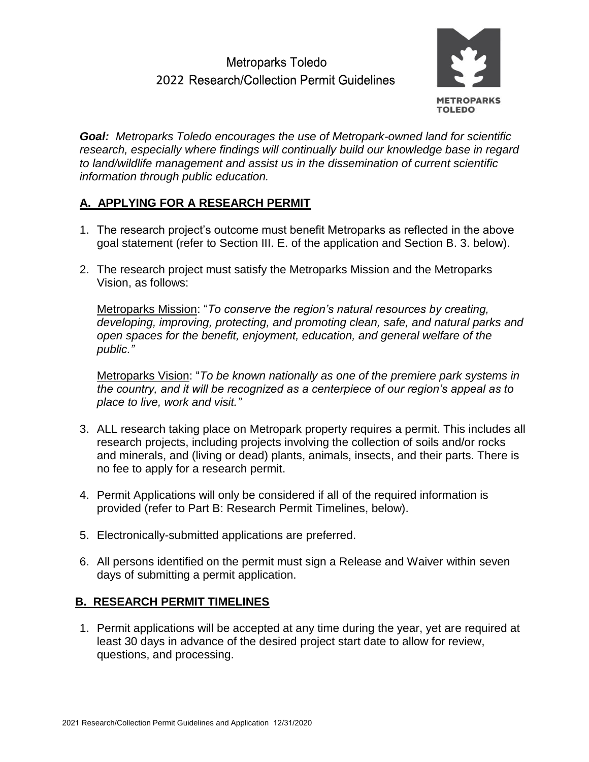# Metroparks Toledo 2022 Research/Collection Permit Guidelines



*Goal: Metroparks Toledo encourages the use of Metropark-owned land for scientific research, especially where findings will continually build our knowledge base in regard to land/wildlife management and assist us in the dissemination of current scientific information through public education.* 

## **A. APPLYING FOR A RESEARCH PERMIT**

- 1. The research project's outcome must benefit Metroparks as reflected in the above goal statement (refer to Section III. E. of the application and Section B. 3. below).
- 2. The research project must satisfy the Metroparks Mission and the Metroparks Vision, as follows:

Metroparks Mission: "*To conserve the region's natural resources by creating, developing, improving, protecting, and promoting clean, safe, and natural parks and open spaces for the benefit, enjoyment, education, and general welfare of the public."*

Metroparks Vision: "*To be known nationally as one of the premiere park systems in the country, and it will be recognized as a centerpiece of our region's appeal as to place to live, work and visit."*

- 3. ALL research taking place on Metropark property requires a permit. This includes all research projects, including projects involving the collection of soils and/or rocks and minerals, and (living or dead) plants, animals, insects, and their parts. There is no fee to apply for a research permit.
- 4. Permit Applications will only be considered if all of the required information is provided (refer to Part B: Research Permit Timelines, below).
- 5. Electronically-submitted applications are preferred.
- 6. All persons identified on the permit must sign a Release and Waiver within seven days of submitting a permit application.

#### **B. RESEARCH PERMIT TIMELINES**

1. Permit applications will be accepted at any time during the year, yet are required at least 30 days in advance of the desired project start date to allow for review, questions, and processing.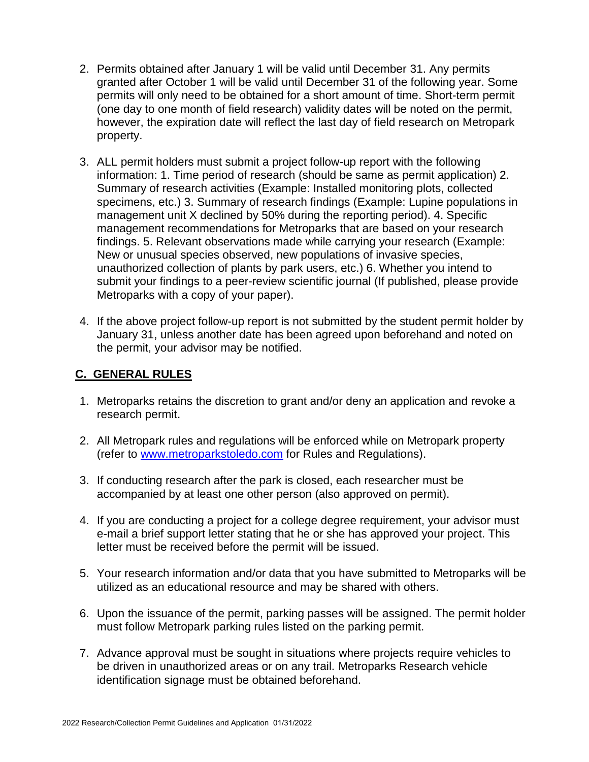- 2. Permits obtained after January 1 will be valid until December 31. Any permits granted after October 1 will be valid until December 31 of the following year. Some permits will only need to be obtained for a short amount of time. Short-term permit (one day to one month of field research) validity dates will be noted on the permit, however, the expiration date will reflect the last day of field research on Metropark property.
- 3. ALL permit holders must submit a project follow-up report with the following information: 1. Time period of research (should be same as permit application) 2. Summary of research activities (Example: Installed monitoring plots, collected specimens, etc.) 3. Summary of research findings (Example: Lupine populations in management unit X declined by 50% during the reporting period). 4. Specific management recommendations for Metroparks that are based on your research findings. 5. Relevant observations made while carrying your research (Example: New or unusual species observed, new populations of invasive species, unauthorized collection of plants by park users, etc.) 6. Whether you intend to submit your findings to a peer-review scientific journal (If published, please provide Metroparks with a copy of your paper).
- 4. If the above project follow-up report is not submitted by the student permit holder by January 31, unless another date has been agreed upon beforehand and noted on the permit, your advisor may be notified.

#### **C. GENERAL RULES**

- 1. Metroparks retains the discretion to grant and/or deny an application and revoke a research permit.
- 2. All Metropark rules and regulations will be enforced while on Metropark property (refer to [www.metroparkstoledo.com](http://www.metroparkstoledo.com/) for Rules and Regulations).
- 3. If conducting research after the park is closed, each researcher must be accompanied by at least one other person (also approved on permit).
- 4. If you are conducting a project for a college degree requirement, your advisor must e-mail a brief support letter stating that he or she has approved your project. This letter must be received before the permit will be issued.
- 5. Your research information and/or data that you have submitted to Metroparks will be utilized as an educational resource and may be shared with others.
- 6. Upon the issuance of the permit, parking passes will be assigned. The permit holder must follow Metropark parking rules listed on the parking permit.
- 7. Advance approval must be sought in situations where projects require vehicles to be driven in unauthorized areas or on any trail. Metroparks Research vehicle identification signage must be obtained beforehand.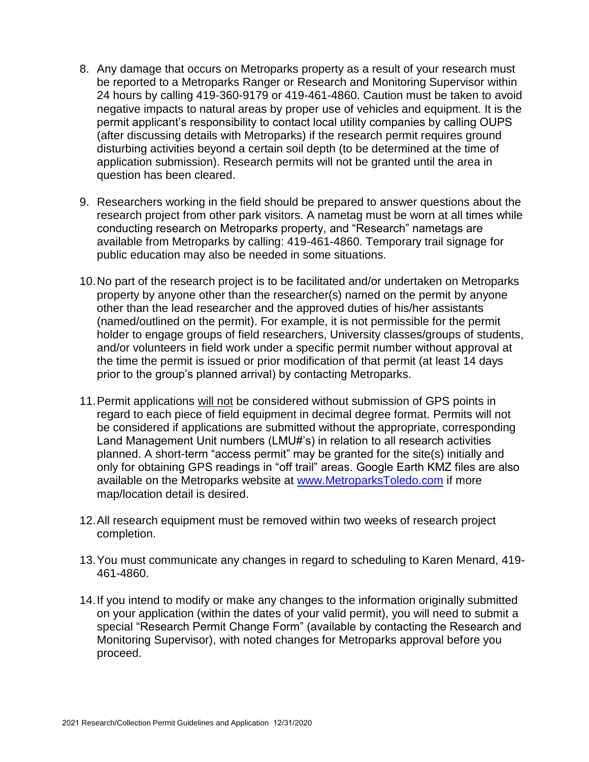- 8. Any damage that occurs on Metroparks property as a result of your research must be reported to a Metroparks Ranger or Research and Monitoring Supervisor within 24 hours by calling 419-360-9179 or 419-461-4860. Caution must be taken to avoid negative impacts to natural areas by proper use of vehicles and equipment. It is the permit applicant's responsibility to contact local utility companies by calling OUPS (after discussing details with Metroparks) if the research permit requires ground disturbing activities beyond a certain soil depth (to be determined at the time of application submission). Research permits will not be granted until the area in question has been cleared.
- 9. Researchers working in the field should be prepared to answer questions about the research project from other park visitors. A nametag must be worn at all times while conducting research on Metroparks property, and "Research" nametags are available from Metroparks by calling: 419-461-4860. Temporary trail signage for public education may also be needed in some situations.
- 10.No part of the research project is to be facilitated and/or undertaken on Metroparks property by anyone other than the researcher(s) named on the permit by anyone other than the lead researcher and the approved duties of his/her assistants (named/outlined on the permit). For example, it is not permissible for the permit holder to engage groups of field researchers, University classes/groups of students, and/or volunteers in field work under a specific permit number without approval at the time the permit is issued or prior modification of that permit (at least 14 days prior to the group's planned arrival) by contacting Metroparks.
- 11. Permit applications will not be considered without submission of GPS points in regard to each piece of field equipment in decimal degree format. Permits will not be considered if applications are submitted without the appropriate, corresponding Land Management Unit numbers (LMU#'s) in relation to all research activities planned. A short-term "access permit" may be granted for the site(s) initially and only for obtaining GPS readings in "off trail" areas. Google Earth KMZ files are also available on the Metroparks website at [www.MetroparksToledo.com](http://www.metroparkstoledo.com/) if more map/location detail is desired.
- 12. All research equipment must be removed within two weeks of research project completion.
- 13. You must communicate any changes in regard to scheduling to Karen Menard, 419- 461-4860.
- 14. If you intend to modify or make any changes to the information originally submitted on your application (within the dates of your valid permit), you will need to submit a special "Research Permit Change Form" (available by contacting the Research and Monitoring Supervisor), with noted changes for Metroparks approval before you proceed.